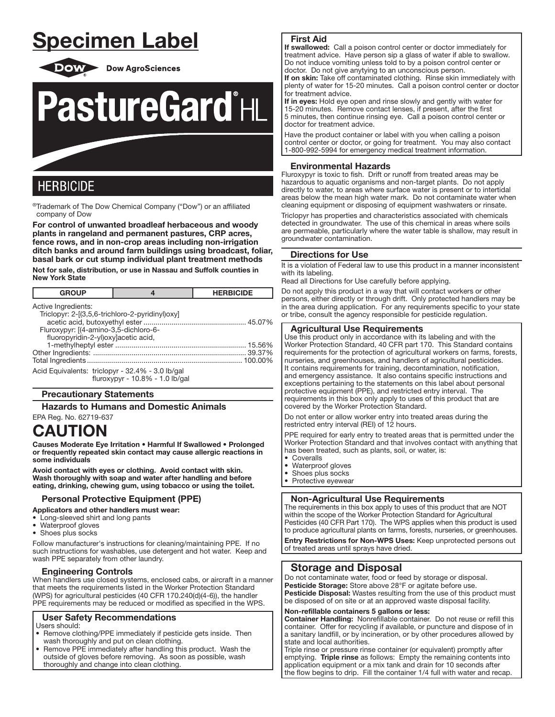# Specimen Label



**Dow AgroSciences** 



## **HERBICIDE**

٦ ®Trademark of The Dow Chemical Company ("Dow") or an affiliated company of Dow

For control of unwanted broadleaf herbaceous and woody plants in rangeland and permanent pastures, CRP acres, fence rows, and in non-crop areas including non-irrigation ditch banks and around farm buildings using broadcast, foliar, basal bark or cut stump individual plant treatment methods

Not for sale, distribution, or use in Nassau and Suffolk counties in New York State

| <b>GROUP</b>                                                                                                                                           | 4                               | <b>HERBICIDE</b> |
|--------------------------------------------------------------------------------------------------------------------------------------------------------|---------------------------------|------------------|
| Active Ingredients:<br>Triclopyr: 2-[(3,5,6-trichloro-2-pyridinyl)oxy]<br>Fluroxypyr: [(4-amino-3,5-dichloro-6-<br>fluoropyridin-2-yl)oxylacetic acid, |                                 |                  |
|                                                                                                                                                        |                                 | 100.00%          |
| Acid Equivalents: triclopyr - 32.4% - 3.0 lb/gal                                                                                                       | fluroxypyr - 10.8% - 1.0 lb/gal |                  |

## Precautionary Statements

Hazards to Humans and Domestic Animals

EPA Reg. No. 62719-637

## CAUTION

Causes Moderate Eye Irritation • Harmful If Swallowed • Prolonged or frequently repeated skin contact may cause allergic reactions in some individuals

Avoid contact with eyes or clothing. Avoid contact with skin. Wash thoroughly with soap and water after handling and before eating, drinking, chewing gum, using tobacco or using the toilet.

## Personal Protective Equipment (PPE)

Applicators and other handlers must wear:

- Long-sleeved shirt and long pants
- Waterproof gloves
- Shoes plus socks

Follow manufacturer's instructions for cleaning/maintaining PPE. If no such instructions for washables, use detergent and hot water. Keep and wash PPE separately from other laundry.

## Engineering Controls

When handlers use closed systems, enclosed cabs, or aircraft in a manner that meets the requirements listed in the Worker Protection Standard (WPS) for agricultural pesticides (40 CFR 170.240(d)(4-6)), the handler PPE requirements may be reduced or modified as specified in the WPS.

## User Safety Recommendations

Users should:

- Remove clothing/PPE immediately if pesticide gets inside. Then wash thoroughly and put on clean clothing.
- Remove PPE immediately after handling this product. Wash the outside of gloves before removing. As soon as possible, wash thoroughly and change into clean clothing.

## First Aid

ļ

If swallowed: Call a poison control center or doctor immediately for treatment advice. Have person sip a glass of water if able to swallow. Do not induce vomiting unless told to by a poison control center or doctor. Do not give anytying to an unconscious person. If on skin: Take off contaminated clothing. Rinse skin immediately with

plenty of water for 15-20 minutes. Call a poison control center or doctor for treatment advice.

If in eyes: Hold eye open and rinse slowly and gently with water for 15-20 minutes. Remove contact lenses, if present, after the first 5 minutes, then continue rinsing eye. Call a poison control center or doctor for treatment advice.

Have the product container or label with you when calling a poison control center or doctor, or going for treatment. You may also contact 1-800-992-5994 for emergency medical treatment information.

## Environmental Hazards

Fluroxypyr is toxic to fish. Drift or runoff from treated areas may be hazardous to aquatic organisms and non-target plants. Do not apply directly to water, to areas where surface water is present or to intertidal areas below the mean high water mark. Do not contaminate water when cleaning equipment or disposing of equipment washwaters or rinsate.

Triclopyr has properties and characteristics associated with chemicals detected in groundwater. The use of this chemical in areas where soils are permeable, particularly where the water table is shallow, may result in groundwater contamination.

## Directions for Use

It is a violation of Federal law to use this product in a manner inconsistent with its labeling.

Read all Directions for Use carefully before applying.

Do not apply this product in a way that will contact workers or other persons, either directly or through drift. Only protected handlers may be in the area during application. For any requirements specific to your state or tribe, consult the agency responsible for pesticide regulation.

## Agricultural Use Requirements

Use this product only in accordance with its labeling and with the Worker Protection Standard, 40 CFR part 170. This Standard contains requirements for the protection of agricultural workers on farms, forests, nurseries, and greenhouses, and handlers of agricultural pesticides. It contains requirements for training, decontamination, notification, and emergency assistance. It also contains specific instructions and exceptions pertaining to the statements on this label about personal protective equipment (PPE), and restricted entry interval. The requirements in this box only apply to uses of this product that are covered by the Worker Protection Standard.

Do not enter or allow worker entry into treated areas during the restricted entry interval (REI) of 12 hours.

PPE required for early entry to treated areas that is permitted under the Worker Protection Standard and that involves contact with anything that has been treated, such as plants, soil, or water, is:

• Coveralls

Ļ

- Waterproof gloves
- Shoes plus socks
- Protective eyewear

## Non-Agricultural Use Requirements

The requirements in this box apply to uses of this product that are NOT within the scope of the Worker Protection Standard for Agricultural Pesticides (40 CFR Part 170). The WPS applies when this product is used to produce agricultural plants on farms, forests, nurseries, or greenhouses. Entry Restrictions for Non-WPS Uses: Keep unprotected persons out

of treated areas until sprays have dried.

## Storage and Disposal

Do not contaminate water, food or feed by storage or disposal. Pesticide Storage: Store above 28°F or agitate before use. Pesticide Disposal: Wastes resulting from the use of this product must be disposed of on site or at an approved waste disposal facility.

#### Non-refillable containers 5 gallons or less:

Container Handling: Nonrefillable container. Do not reuse or refill this container. Offer for recycling if available, or puncture and dispose of in a sanitary landfill, or by incineration, or by other procedures allowed by state and local authorities.

Triple rinse or pressure rinse container (or equivalent) promptly after emptying. Triple rinse as follows: Empty the remaining contents into application equipment or a mix tank and drain for 10 seconds after the flow begins to drip. Fill the container 1/4 full with water and recap.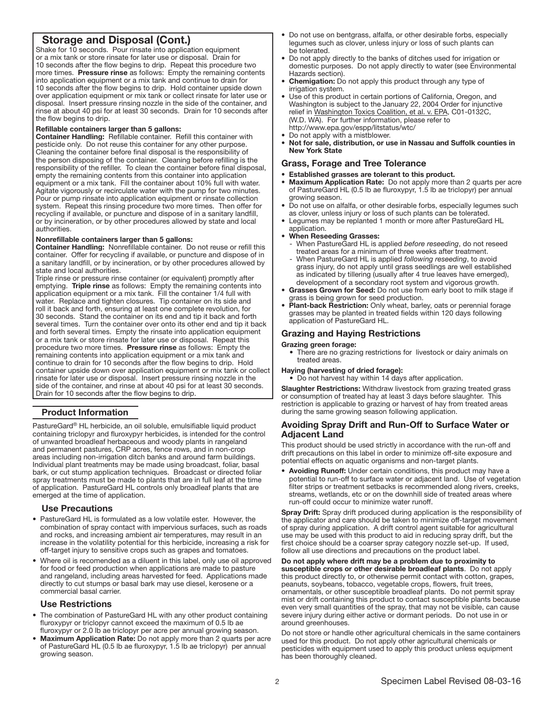## Storage and Disposal (Cont.)

Shake for 10 seconds. Pour rinsate into application equipment or a mix tank or store rinsate for later use or disposal. Drain for 10 seconds after the flow begins to drip. Repeat this procedure two more times. Pressure rinse as follows: Empty the remaining contents into application equipment or a mix tank and continue to drain for 10 seconds after the flow begins to drip. Hold container upside down over application equipment or mix tank or collect rinsate for later use or disposal. Insert pressure rinsing nozzle in the side of the container, and rinse at about 40 psi for at least 30 seconds. Drain for 10 seconds after the flow begins to drip.

## Refillable containers larger than 5 gallons:

Container Handling: Refillable container. Refill this container with pesticide only. Do not reuse this container for any other purpose. Cleaning the container before final disposal is the responsibility of the person disposing of the container. Cleaning before refilling is the responsibility of the refiller. To clean the container before final disposal, empty the remaining contents from this container into application equipment or a mix tank. Fill the container about 10% full with water. Agitate vigorously or recirculate water with the pump for two minutes. Pour or pump rinsate into application equipment or rinsate collection system. Repeat this rinsing procedure two more times. Then offer for recycling if available, or puncture and dispose of in a sanitary landfill, or by incineration, or by other procedures allowed by state and local authorities.

#### Nonrefillable containers larger than 5 gallons:

Container Handling: Nonrefillable container. Do not reuse or refill this container. Offer for recycling if available, or puncture and dispose of in a sanitary landfill, or by incineration, or by other procedures allowed by state and local authorities.

Triple rinse or pressure rinse container (or equivalent) promptly after emptying. Triple rinse as follows: Empty the remaining contents into application equipment or a mix tank. Fill the container 1/4 full with water. Replace and tighten closures. Tip container on its side and roll it back and forth, ensuring at least one complete revolution, for 30 seconds. Stand the container on its end and tip it back and forth several times. Turn the container over onto its other end and tip it back and forth several times. Empty the rinsate into application equipment or a mix tank or store rinsate for later use or disposal. Repeat this procedure two more times. Pressure rinse as follows: Empty the remaining contents into application equipment or a mix tank and continue to drain for 10 seconds after the flow begins to drip. Hold container upside down over application equipment or mix tank or collect rinsate for later use or disposal. Insert pressure rinsing nozzle in the side of the container, and rinse at about 40 psi for at least 30 seconds. Drain for 10 seconds after the flow begins to drip.

## Product Information

į

PastureGard® HL herbicide, an oil soluble, emulsifiable liquid product containing triclopyr and fluroxypyr herbicides, is intended for the control of unwanted broadleaf herbaceous and woody plants in rangeland and permanent pastures, CRP acres, fence rows, and in non-crop areas including non-irrigation ditch banks and around farm buildings. Individual plant treatments may be made using broadcast, foliar, basal bark, or cut stump application techniques. Broadcast or directed foliar spray treatments must be made to plants that are in full leaf at the time of application. PastureGard HL controls only broadleaf plants that are emerged at the time of application.

#### Use Precautions

- PastureGard HL is formulated as a low volatile ester. However, the combination of spray contact with impervious surfaces, such as roads and rocks, and increasing ambient air temperatures, may result in an increase in the volatility potential for this herbicide, increasing a risk for off-target injury to sensitive crops such as grapes and tomatoes.
- Where oil is recomended as a diluent in this label, only use oil approved for food or feed production when applications are made to pasture and rangeland, including areas harvested for feed. Applications made directly to cut stumps or basal bark may use diesel, kerosene or a commercial basal carrier.

## Use Restrictions

- The combination of PastureGard HL with any other product containing fluroxypyr or triclopyr cannot exceed the maximum of 0.5 lb ae fluroxypyr or 2.0 lb ae triclopyr per acre per annual growing season.
- Maximum Application Rate: Do not apply more than 2 quarts per acre of PastureGard HL (0.5 lb ae fluroxypyr, 1.5 lb ae triclopyr) per annual growing season.
- Do not use on bentgrass, alfalfa, or other desirable forbs, especially legumes such as clover, unless injury or loss of such plants can be tolerated.
- Do not apply directly to the banks of ditches used for irrigation or domestic purposes. Do not apply directly to water (see Environmental Hazards section).
- **Chemigation:** Do not apply this product through any type of irrigation system.
- Use of this product in certain portions of California, Oregon, and Washington is subject to the January 22, 2004 Order for injunctive relief in Washington Toxics Coalition, et al. v. EPA, C01-0132C, (W.D. WA). For further information, please refer to http://www.epa.gov/espp/litstatus/wtc/
- Do not apply with a mistblower.
- Not for sale, distribution, or use in Nassau and Suffolk counties in New York State

#### Grass, Forage and Tree Tolerance

#### • Established grasses are tolerant to this product.

- Maximum Application Rate: Do not apply more than 2 quarts per acre of PastureGard HL (0.5 lb ae fluroxypyr, 1.5 lb ae triclopyr) per annual growing season.
- Do not use on alfalfa, or other desirable forbs, especially legumes such as clover, unless injury or loss of such plants can be tolerated.
- Legumes may be replanted 1 month or more after PastureGard HL application.
- When Reseeding Grasses:
	- When PastureGard HL is applied *before reseeding*, do not reseed treated areas for a minimum of three weeks after treatment.
- When PastureGard HL is applied *following reseeding*, to avoid grass injury, do not apply until grass seedlings are well established as indicated by tillering (usually after 4 true leaves have emerged), development of a secondary root system and vigorous growth.
- Grasses Grown for Seed: Do not use from early boot to milk stage if grass is being grown for seed production.
- Plant-back Restriction: Only wheat, barley, oats or perennial forage grasses may be planted in treated fields within 120 days following application of PastureGard HL.

## Grazing and Haying Restrictions

#### Grazing green forage:

• There are no grazing restrictions for livestock or dairy animals on treated areas.

## Haying (harvesting of dried forage):

• Do not harvest hay within 14 days after application.

Slaughter Restrictions: Withdraw livestock from grazing treated grass or consumption of treated hay at least 3 days before slaughter. This restriction is applicable to grazing or harvest of hay from treated areas during the same growing season following application.

## Avoiding Spray Drift and Run-Off to Surface Water or Adjacent Land

This product should be used strictly in accordance with the run-off and drift precautions on this label in order to minimize off-site exposure and potential effects on aquatic organisms and non-target plants.

• Avoiding Runoff: Under certain conditions, this product may have a potential to run-off to surface water or adjacent land. Use of vegetation filter strips or treatment setbacks is recommended along rivers, creeks, streams, wetlands, etc or on the downhill side of treated areas where run-off could occur to minimize water runoff.

Spray Drift: Spray drift produced during application is the responsibility of the applicator and care should be taken to minimize off-target movement of spray during application. A drift control agent suitable for agricultural use may be used with this product to aid in reducing spray drift, but the first choice should be a coarser spray category nozzle set-up. If used, follow all use directions and precautions on the product label.

Do not apply where drift may be a problem due to proximity to susceptible crops or other desirable broadleaf plants. Do not apply this product directly to, or otherwise permit contact with cotton, grapes, peanuts, soybeans, tobacco, vegetable crops, flowers, fruit trees, ornamentals, or other susceptible broadleaf plants. Do not permit spray mist or drift containing this product to contact susceptible plants because even very small quantities of the spray, that may not be visible, can cause severe injury during either active or dormant periods. Do not use in or around greenhouses.

Do not store or handle other agricultural chemicals in the same containers used for this product. Do not apply other agricultural chemicals or pesticides with equipment used to apply this product unless equipment has been thoroughly cleaned.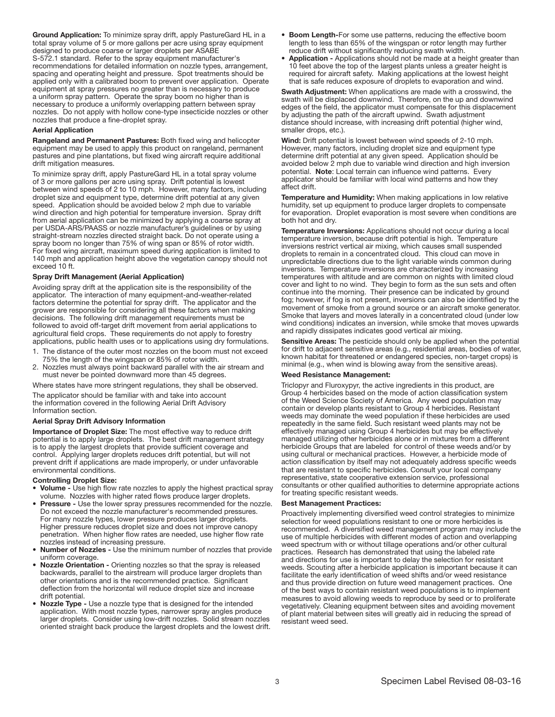Ground Application: To minimize spray drift, apply PastureGard HL in a total spray volume of 5 or more gallons per acre using spray equipment designed to produce coarse or larger droplets per ASABE S-572.1 standard. Refer to the spray equipment manufacturer's recommendations for detailed information on nozzle types, arrangement, spacing and operating height and pressure. Spot treatments should be applied only with a calibrated boom to prevent over application. Operate equipment at spray pressures no greater than is necessary to produce a uniform spray pattern. Operate the spray boom no higher than is necessary to produce a uniformly overlapping pattern between spray nozzles. Do not apply with hollow cone-type insecticide nozzles or other nozzles that produce a fine-droplet spray.

## Aerial Application

Rangeland and Permanent Pastures: Both fixed wing and helicopter equipment may be used to apply this product on rangeland, permanent pastures and pine plantations, but fixed wing aircraft require additional drift mitigation measures.

To minimize spray drift, apply PastureGard HL in a total spray volume of 3 or more gallons per acre using spray. Drift potential is lowest between wind speeds of 2 to 10 mph. However, many factors, including droplet size and equipment type, determine drift potential at any given speed. Application should be avoided below 2 mph due to variable wind direction and high potential for temperature inversion. Spray drift from aerial application can be minimized by applying a coarse spray at per USDA-ARS/PAASS or nozzle manufacturer's guidelines or by using straight-stream nozzles directed straight back. Do not operate using a spray boom no longer than 75% of wing span or 85% of rotor width. For fixed wing aircraft, maximum speed during application is limited to 140 mph and application height above the vegetation canopy should not exceed 10 ft.

## Spray Drift Management (Aerial Application)

Avoiding spray drift at the application site is the responsibility of the applicator. The interaction of many equipment-and-weather-related factors determine the potential for spray drift. The applicator and the grower are responsible for considering all these factors when making decisions. The following drift management requirements must be followed to avoid off-target drift movement from aerial applications to agricultural field crops. These requirements do not apply to forestry applications, public health uses or to applications using dry formulations.

- 1. The distance of the outer most nozzles on the boom must not exceed 75% the length of the wingspan or 85% of rotor width.
- 2. Nozzles must always point backward parallel with the air stream and must never be pointed downward more than 45 degrees.

Where states have more stringent regulations, they shall be observed.

The applicator should be familiar with and take into account the information covered in the following Aerial Drift Advisory Information section.

#### Aerial Spray Drift Advisory Information

Importance of Droplet Size: The most effective way to reduce drift potential is to apply large droplets. The best drift management strategy is to apply the largest droplets that provide sufficient coverage and control. Applying larger droplets reduces drift potential, but will not prevent drift if applications are made improperly, or under unfavorable environmental conditions.

#### Controlling Droplet Size:

- Volume Use high flow rate nozzles to apply the highest practical spray volume. Nozzles with higher rated flows produce larger droplets.
- Pressure Use the lower spray pressures recommended for the nozzle. Do not exceed the nozzle manufacturer's recommended pressures. For many nozzle types, lower pressure produces larger droplets. Higher pressure reduces droplet size and does not improve canopy penetration. When higher flow rates are needed, use higher flow rate nozzles instead of increasing pressure.
- Number of Nozzles Use the minimum number of nozzles that provide uniform coverage.
- Nozzle Orientation Orienting nozzles so that the spray is released backwards, parallel to the airstream will produce larger droplets than other orientations and is the recommended practice. Significant deflection from the horizontal will reduce droplet size and increase drift potential.
- Nozzle Type Use a nozzle type that is designed for the intended application. With most nozzle types, narrower spray angles produce larger droplets. Consider using low-drift nozzles. Solid stream nozzles oriented straight back produce the largest droplets and the lowest drift.
- Boom Length-For some use patterns, reducing the effective boom length to less than 65% of the wingspan or rotor length may further reduce drift without significantly reducing swath width.
- Application Applications should not be made at a height greater than 10 feet above the top of the largest plants unless a greater height is required for aircraft safety. Making applications at the lowest height that is safe reduces exposure of droplets to evaporation and wind.

Swath Adjustment: When applications are made with a crosswind, the swath will be displaced downwind. Therefore, on the up and downwind edges of the field, the applicator must compensate for this displacement by adjusting the path of the aircraft upwind. Swath adjustment distance should increase, with increasing drift potential (higher wind, smaller drops, etc.).

Wind: Drift potential is lowest between wind speeds of 2-10 mph. However, many factors, including droplet size and equipment type determine drift potential at any given speed. Application should be avoided below 2 mph due to variable wind direction and high inversion potential. Note: Local terrain can influence wind patterns. Every applicator should be familiar with local wind patterns and how they affect drift.

Temperature and Humidity: When making applications in low relative humidity, set up equipment to produce larger droplets to compensate for evaporation. Droplet evaporation is most severe when conditions are both hot and dry.

Temperature Inversions: Applications should not occur during a local temperature inversion, because drift potential is high. Temperature inversions restrict vertical air mixing, which causes small suspended droplets to remain in a concentrated cloud. This cloud can move in unpredictable directions due to the light variable winds common during inversions. Temperature inversions are characterized by increasing temperatures with altitude and are common on nights with limited cloud cover and light to no wind. They begin to form as the sun sets and often continue into the morning. Their presence can be indicated by ground fog; however, if fog is not present, inversions can also be identified by the movement of smoke from a ground source or an aircraft smoke generator. Smoke that layers and moves laterally in a concentrated cloud (under low wind conditions) indicates an inversion, while smoke that moves upwards and rapidly dissipates indicates good vertical air mixing.

Sensitive Areas: The pesticide should only be applied when the potential for drift to adjacent sensitive areas (e.g., residential areas, bodies of water, known habitat for threatened or endangered species, non-target crops) is minimal (e.g., when wind is blowing away from the sensitive areas).

## Weed Resistance Management:

Triclopyr and Fluroxypyr, the active ingredients in this product, are Group 4 herbicides based on the mode of action classification system of the Weed Science Society of America. Any weed population may contain or develop plants resistant to Group 4 herbicides. Resistant weeds may dominate the weed population if these herbicides are used repeatedly in the same field. Such resistant weed plants may not be effectively managed using Group 4 herbicides but may be effectively managed utilizing other herbicides alone or in mixtures from a different herbicide Groups that are labeled for control of these weeds and/or by using cultural or mechanical practices. However, a herbicide mode of action classification by itself may not adequately address specific weeds that are resistant to specific herbicides. Consult your local company representative, state cooperative extension service, professional consultants or other qualified authorities to determine appropriate actions for treating specific resistant weeds.

## Best Management Practices:

Proactively implementing diversified weed control strategies to minimize selection for weed populations resistant to one or more herbicides is recommended. A diversified weed management program may include the use of multiple herbicides with different modes of action and overlapping weed spectrum with or without tillage operations and/or other cultural practices. Research has demonstrated that using the labeled rate and directions for use is important to delay the selection for resistant weeds. Scouting after a herbicide application is important because it can facilitate the early identification of weed shifts and/or weed resistance and thus provide direction on future weed management practices. One of the best ways to contain resistant weed populations is to implement measures to avoid allowing weeds to reproduce by seed or to proliferate vegetatively. Cleaning equipment between sites and avoiding movement of plant material between sites will greatly aid in reducing the spread of resistant weed seed.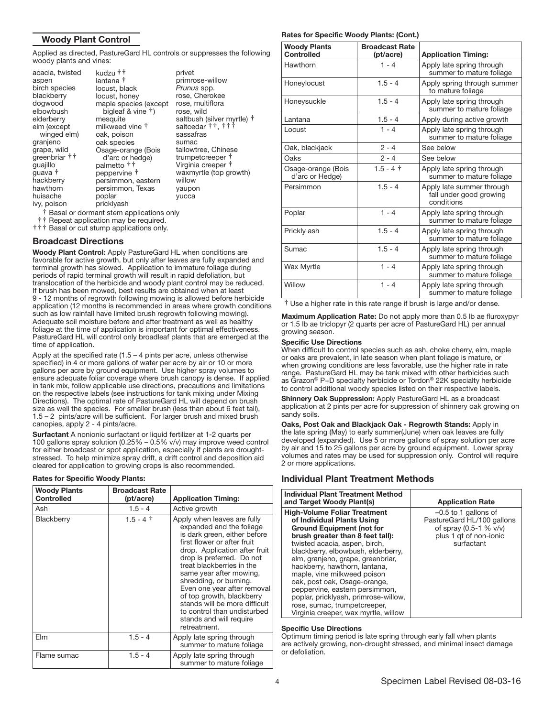## Woody Plant Control

Applied as directed, PastureGard HL controls or suppresses the following woody plants and vines:

| acacia, twisted<br>aspen<br>birch species<br>blackberry<br>dogwood<br>elbowbush<br>elderberry<br>elm (except<br>winged elm)<br>granjeno<br>grape, wild<br>greenbriar ††<br>guajillo<br>guava †<br>hackberry<br>hawthorn | kudzu † †<br>lantana †<br>locust, black<br>locust, honey<br>maple species (except<br>bigleaf & vine $\dagger$ )<br>mesquite<br>milkweed vine †<br>oak, poison<br>oak species<br>Osage-orange (Bois<br>d'arc or hedge)<br>palmetto ††<br>peppervine †<br>persimmon, eastern<br>persimmon, Texas | privet<br>primrose-willow<br>Prunus spp.<br>rose, Cherokee<br>rose, multiflora<br>rose, wild<br>saltbush (silver myrtle) †<br>saltcedar $\uparrow\uparrow$ , $\uparrow\uparrow\uparrow$<br>sassafras<br>sumac<br>tallowtree, Chinese<br>trumpetcreeper †<br>Virginia creeper †<br>waxmyrtle (top growth)<br>willow<br>yaupon |
|-------------------------------------------------------------------------------------------------------------------------------------------------------------------------------------------------------------------------|------------------------------------------------------------------------------------------------------------------------------------------------------------------------------------------------------------------------------------------------------------------------------------------------|------------------------------------------------------------------------------------------------------------------------------------------------------------------------------------------------------------------------------------------------------------------------------------------------------------------------------|
|                                                                                                                                                                                                                         |                                                                                                                                                                                                                                                                                                |                                                                                                                                                                                                                                                                                                                              |
| huisache                                                                                                                                                                                                                | poplar                                                                                                                                                                                                                                                                                         | yucca                                                                                                                                                                                                                                                                                                                        |
| ivy, poison                                                                                                                                                                                                             | pricklyash                                                                                                                                                                                                                                                                                     |                                                                                                                                                                                                                                                                                                                              |
|                                                                                                                                                                                                                         | † Rasal or dormant stem applications only                                                                                                                                                                                                                                                      |                                                                                                                                                                                                                                                                                                                              |

†† Repeat application may be required.<br>††† Basal or cut stump applications only.

## Broadcast Directions

Woody Plant Control: Apply PastureGard HL when conditions are favorable for active growth, but only after leaves are fully expanded and terminal growth has slowed. Application to immature foliage during periods of rapid terminal growth will result in rapid defoliation, but translocation of the herbicide and woody plant control may be reduced. If brush has been mowed, best results are obtained when at least 9 - 12 months of regrowth following mowing is allowed before herbicide application (12 months is recommended in areas where growth conditions such as low rainfall have limited brush regrowth following mowing). Adequate soil moisture before and after treatment as well as healthy foliage at the time of application is important for optimal effectiveness. PastureGard HL will control only broadleaf plants that are emerged at the time of application.

Apply at the specified rate  $(1.5 - 4$  pints per acre, unless otherwise specified) in 4 or more gallons of water per acre by air or 10 or more gallons per acre by ground equipment. Use higher spray volumes to ensure adequate foliar coverage where brush canopy is dense. If applied in tank mix, follow applicable use directions, precautions and limitations on the respective labels (see instructions for tank mixing under Mixing Directions). The optimal rate of PastureGard HL will depend on brush size as well the species. For smaller brush (less than about 6 feet tall), 1.5 – 2 pints/acre will be sufficient. For larger brush and mixed brush canopies, apply 2 - 4 pints/acre.

Surfactant A nonionic surfactant or liquid fertilizer at 1-2 quarts per 100 gallons spray solution (0.25% – 0.5% v/v) may improve weed control for either broadcast or spot application, especially if plants are droughtstressed. To help minimize spray drift, a drift control and deposition aid cleared for application to growing crops is also recommended.

#### Rates for Specific Woody Plants:

| <b>Woody Plants</b><br><b>Controlled</b> | <b>Broadcast Rate</b><br>(pt/acre) | <b>Application Timing:</b>                                                                                                                                                                                                                                                                                                                                                                                                                    |
|------------------------------------------|------------------------------------|-----------------------------------------------------------------------------------------------------------------------------------------------------------------------------------------------------------------------------------------------------------------------------------------------------------------------------------------------------------------------------------------------------------------------------------------------|
| Ash                                      | $1.5 - 4$                          | Active growth                                                                                                                                                                                                                                                                                                                                                                                                                                 |
| Blackberry                               | $1.5 - 4$ †                        | Apply when leaves are fully<br>expanded and the foliage<br>is dark green, either before<br>first flower or after fruit<br>drop. Application after fruit<br>drop is preferred. Do not<br>treat blackberries in the<br>same year after mowing,<br>shredding, or burning.<br>Even one year after removal<br>of top growth, blackberry<br>stands will be more difficult<br>to control than undisturbed<br>stands and will require<br>retreatment. |
| Elm                                      | $1.5 - 4$                          | Apply late spring through<br>summer to mature foliage                                                                                                                                                                                                                                                                                                                                                                                         |
| Flame sumac                              | $1.5 - 4$                          | Apply late spring through<br>summer to mature foliage                                                                                                                                                                                                                                                                                                                                                                                         |

#### Rates for Specific Woody Plants: (Cont.)

| <b>Woody Plants</b><br><b>Controlled</b> | <b>Broadcast Rate</b><br>(pt/acre) | <b>Application Timing:</b>                                         |
|------------------------------------------|------------------------------------|--------------------------------------------------------------------|
| Hawthorn                                 | $1 - 4$                            | Apply late spring through<br>summer to mature foliage              |
| Honeylocust                              | $1.5 - 4$                          | Apply spring through summer<br>to mature foliage                   |
| Honeysuckle                              | $1.5 - 4$                          | Apply late spring through<br>summer to mature foliage              |
| Lantana                                  | $1.5 - 4$                          | Apply during active growth                                         |
| Locust                                   | $1 - 4$                            | Apply late spring through<br>summer to mature foliage              |
| Oak, blackjack                           | $2 - 4$                            | See below                                                          |
| Oaks                                     | $2 - 4$                            | See below                                                          |
| Osage-orange (Bois<br>d'arc or Hedge)    | $1.5 - 4$ †                        | Apply late spring through<br>summer to mature foliage              |
| Persimmon                                | $1.5 - 4$                          | Apply late summer through<br>fall under good growing<br>conditions |
| Poplar                                   | $1 - 4$                            | Apply late spring through<br>summer to mature foliage              |
| Prickly ash                              | $1.5 - 4$                          | Apply late spring through<br>summer to mature foliage              |
| Sumac                                    | $1.5 - 4$                          | Apply late spring through<br>summer to mature foliage              |
| <b>Wax Myrtle</b>                        | $1 - 4$                            | Apply late spring through<br>summer to mature foliage              |
| Willow                                   | $1 - 4$                            | Apply late spring through<br>summer to mature foliage              |

† Use a higher rate in this rate range if brush is large and/or dense.

Maximum Application Rate: Do not apply more than 0.5 lb ae fluroxypyr or 1.5 lb ae triclopyr (2 quarts per acre of PastureGard HL) per annual growing season.

#### Specific Use Directions

When difficult to control species such as ash, choke cherry, elm, maple or oaks are prevalent, in late season when plant foliage is mature, or when growing conditions are less favorable, use the higher rate in rate range. PastureGard HL may be tank mixed with other herbicides such as Grazon® P+D specialty herbicide or Tordon® 22K specialty herbicide to control additional woody species listed on their respective labels.

Shinnery Oak Suppression: Apply PastureGard HL as a broadcast application at 2 pints per acre for suppression of shinnery oak growing on sandy soils.

Oaks, Post Oak and Blackjack Oak - Regrowth Stands: Apply in the late spring (May) to early summer(June) when oak leaves are fully developed (expanded). Use 5 or more gallons of spray solution per acre by air and 15 to 25 gallons per acre by ground equipment. Lower spray volumes and rates may be used for suppression only. Control will require 2 or more applications.

## Individual Plant Treatment Methods

| Individual Plant Treatment Method<br>and Target Woody Plant(s)                                                                                                                                                                                                                                                                                                                                                                                                                                          | <b>Application Rate</b>                                                                                                  |
|---------------------------------------------------------------------------------------------------------------------------------------------------------------------------------------------------------------------------------------------------------------------------------------------------------------------------------------------------------------------------------------------------------------------------------------------------------------------------------------------------------|--------------------------------------------------------------------------------------------------------------------------|
| <b>High-Volume Foliar Treatment</b><br>of Individual Plants Using<br><b>Ground Equipment (not for</b><br>brush greater than 8 feet tall):<br>twisted acacia, aspen, birch,<br>blackberry, elbowbush, elderberry,<br>elm, granjeno, grape, greenbriar,<br>hackberry, hawthorn, lantana,<br>maple, vine milkweed poison<br>oak, post oak, Osage-orange,<br>peppervine, eastern persimmon,<br>poplar, pricklyash, primrose-willow,<br>rose, sumac, trumpetcreeper,<br>Virginia creeper, wax myrtle, willow | $-0.5$ to 1 gallons of<br>PastureGard HL/100 gallons<br>of spray $(0.5-1 % v/v)$<br>plus 1 gt of non-ionic<br>surfactant |

#### Ī Specific Use Directions

Optimum timing period is late spring through early fall when plants are actively growing, non-drought stressed, and minimal insect damage or defoliation.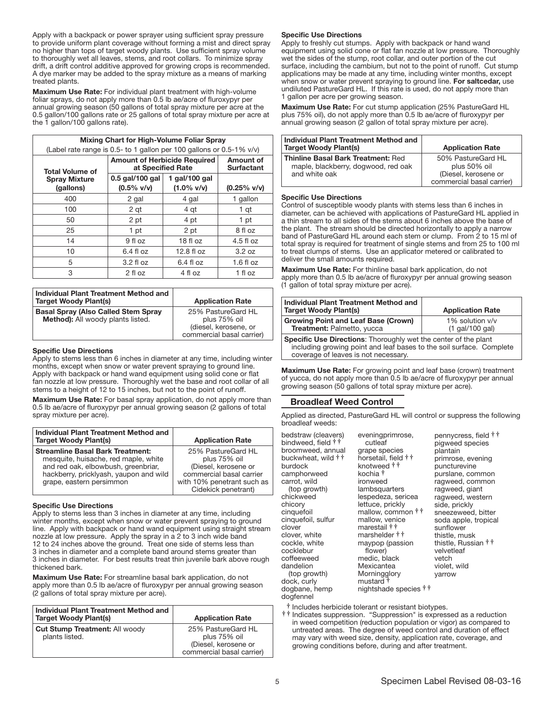Apply with a backpack or power sprayer using sufficient spray pressure to provide uniform plant coverage without forming a mist and direct spray no higher than tops of target woody plants. Use sufficient spray volume to thoroughly wet all leaves, stems, and root collars. To minimize spray drift, a drift control additive approved for growing crops is recommended. A dye marker may be added to the spray mixture as a means of marking treated plants.

Maximum Use Rate: For individual plant treatment with high-volume foliar sprays, do not apply more than 0.5 lb ae/acre of fluroxypyr per annual growing season (50 gallons of total spray mixture per acre at the 0.5 gallon/100 gallons rate or 25 gallons of total spray mixture per acre at the 1 gallon/100 gallons rate).

| Mixing Chart for High-Volume Foliar Spray<br>(Label rate range is 0.5- to 1 gallon per 100 gallons or $0.5-1\%$ v/v) |                                                          |                                       |             |
|----------------------------------------------------------------------------------------------------------------------|----------------------------------------------------------|---------------------------------------|-------------|
| <b>Total Volume of</b>                                                                                               | <b>Amount of Herbicide Required</b><br>at Specified Rate | <b>Amount of</b><br><b>Surfactant</b> |             |
| <b>Spray Mixture</b><br>(gallons)                                                                                    | 0.5 gal/100 gal<br>$(0.5\%$ v/v)                         | $(0.25\%$ v/v)                        |             |
| 400                                                                                                                  | 2 gal                                                    | 4 gal                                 | 1 gallon    |
| 100                                                                                                                  | 2 qt                                                     | 4 qt                                  | 1 qt        |
| 50                                                                                                                   | 2 pt                                                     | 4 pt                                  | 1 pt        |
| 25                                                                                                                   | 1 pt                                                     | 2 pt                                  | 8 fl oz     |
| 14                                                                                                                   | 9 fl oz                                                  | $18f$ l oz                            | $4.5$ fl oz |
| 10                                                                                                                   | $6.4$ fl oz                                              | 12.8 fl oz                            | 3.2 oz      |
| 5                                                                                                                    | $3.2 f$ l oz                                             | $6.4$ fl $oz$                         | $1.6f$ loz  |
| 3                                                                                                                    | 2 fl oz                                                  | 4 fl oz                               | 1 fl oz     |

| Individual Plant Treatment Method and<br><b>Target Woody Plant(s)</b>           | <b>Application Rate</b>                                                                  |
|---------------------------------------------------------------------------------|------------------------------------------------------------------------------------------|
| <b>Basal Spray (Also Called Stem Spray</b><br>Method): All woody plants listed. | 25% PastureGard HL<br>plus 75% oil<br>(diesel, kerosene, or<br>commercial basal carrier) |

#### Specific Use Directions

Apply to stems less than 6 inches in diameter at any time, including winter months, except when snow or water prevent spraying to ground line. Apply with backpack or hand wand equipment using solid cone or flat fan nozzle at low pressure. Thoroughly wet the base and root collar of all stems to a height of 12 to 15 inches, but not to the point of runoff.

**Maximum Use Rate:** For basal spray application, do not apply more than 0.5 lb ae/acre of fluroxypyr per annual growing season (2 gallons of total spray mixture per acre).

| Individual Plant Treatment Method and<br><b>Target Woody Plant(s)</b>                                                                                                                        | <b>Application Rate</b>                                                                                                                     |
|----------------------------------------------------------------------------------------------------------------------------------------------------------------------------------------------|---------------------------------------------------------------------------------------------------------------------------------------------|
| <b>Streamline Basal Bark Treatment:</b><br>mesquite, huisache, red maple, white<br>and red oak, elbowbush, greenbriar,<br>hackberry, pricklyash, yaupon and wild<br>grape, eastern persimmon | 25% PastureGard HL<br>plus 75% oil<br>(Diesel, kerosene or<br>commercial basal carrier<br>with 10% penetrant such as<br>Cidekick penetrant) |

#### Ī Specific Use Directions

Apply to stems less than 3 inches in diameter at any time, including winter months, except when snow or water prevent spraying to ground line. Apply with backpack or hand wand equipment using straight stream nozzle at low pressure. Apply the spray in a 2 to 3 inch wide band 12 to 24 inches above the ground. Treat one side of stems less than 3 inches in diameter and a complete band around stems greater than 3 inches in diameter. For best results treat thin juvenile bark above rough thickened bark.

Maximum Use Rate: For streamline basal bark application, do not apply more than 0.5 lb ae/acre of fluroxypyr per annual growing season (2 gallons of total spray mixture per acre).

| Individual Plant Treatment Method and<br><b>Target Woody Plant(s)</b> | <b>Application Rate</b>                                                                 |
|-----------------------------------------------------------------------|-----------------------------------------------------------------------------------------|
| <b>Cut Stump Treatment: All woody</b><br>plants listed.               | 25% PastureGard HL<br>plus 75% oil<br>(Diesel, kerosene or<br>commercial basal carrier) |

#### Specific Use Directions

Apply to freshly cut stumps. Apply with backpack or hand wand equipment using solid cone or flat fan nozzle at low pressure. Thoroughly wet the sides of the stump, root collar, and outer portion of the cut surface, including the cambium, but not to the point of runoff. Cut stump applications may be made at any time, including winter months, except when snow or water prevent spraying to ground line. For saltcedar, use undiluted PastureGard HL. If this rate is used, do not apply more than 1 gallon per acre per growing season.

Maximum Use Rate: For cut stump application (25% PastureGard HL plus 75% oil), do not apply more than 0.5 lb ae/acre of fluroxypyr per annual growing season (2 gallon of total spray mixture per acre).

| Individual Plant Treatment Method and<br><b>Target Woody Plant(s)</b>                             | <b>Application Rate</b>                                                                 |
|---------------------------------------------------------------------------------------------------|-----------------------------------------------------------------------------------------|
| <b>Thinline Basal Bark Treatment: Red</b><br>maple, blackberry, dogwood, red oak<br>and white oak | 50% PastureGard HL<br>plus 50% oil<br>(Diesel, kerosene or<br>commercial basal carrier) |

#### Ï Specific Use Directions

Control of susceptible woody plants with stems less than 6 inches in diameter, can be achieved with applications of PastureGard HL applied in a thin stream to all sides of the stems about 6 inches above the base of the plant. The stream should be directed horizontally to apply a narrow band of PastureGard HL around each stem or clump. From 2 to 15 ml of total spray is required for treatment of single stems and from 25 to 100 ml to treat clumps of stems. Use an applicator metered or calibrated to deliver the small amounts required.

Maximum Use Rate: For thinline basal bark application, do not apply more than 0.5 lb ae/acre of fluroxypyr per annual growing season (1 gallon of total spray mixture per acre).

| Individual Plant Treatment Method and<br><b>Target Woody Plant(s)</b>                                                                                                                  | <b>Application Rate</b>            |  |
|----------------------------------------------------------------------------------------------------------------------------------------------------------------------------------------|------------------------------------|--|
| <b>Growing Point and Leaf Base (Crown)</b><br>Treatment: Palmetto, yucca                                                                                                               | 1% solution v/v<br>(1 gal/100 gal) |  |
| <b>Specific Use Directions:</b> Thoroughly wet the center of the plant<br>including growing point and leaf bases to the soil surface. Complete<br>coverage of leaves is not necessary. |                                    |  |

I Maximum Use Rate: For growing point and leaf base (crown) treatment of yucca, do not apply more than 0.5 lb ae/acre of fluroxypyr per annual growing season (50 gallons of total spray mixture per acre).

## Broadleaf Weed Control

Applied as directed, PastureGard HL will control or suppress the following broadleaf weeds:

| bedstraw (cleavers)<br>eveningprimrose,<br>bindweed, field † †<br>broomweed, annual<br>buckwheat, wild $\dagger \dagger$<br>burdock<br>kochia †<br>camphorweed<br>carrot, wild<br>(top growth)<br>chickweed<br>chicory<br>cinquefoil<br>cinquefoil, sulfur<br>clover<br>clover, white<br>cockle, white<br>cocklebur<br>coffeeweed<br>dandelion<br>(top growth)<br>dock, curly<br>dogbane, hemp<br>dogfennel | cutleaf<br>grape species<br>horsetail, field † †<br>knotweed † †<br>ironweed<br>lambsquarters<br>lespedeza, sericea<br>lettuce, prickly<br>mallow, common † †<br>mallow, venice<br>marestail † †<br>marshelder † †<br>maypop (passion<br>flower)<br>medic, black<br>Mexicantea<br>Morningglory<br>mustard <sup>†</sup><br>nightshade species † † | pennycress, field † †<br>pigweed species<br>plantain<br>primrose, evening<br>puncturevine<br>purslane, common<br>ragweed, common<br>ragweed, giant<br>ragweed, western<br>side, prickly<br>sneezeweed, bitter<br>soda apple, tropical<br>sunflower<br>thistle, musk<br>thistle, Russian † †<br>velvetleaf<br>vetch<br>violet, wild<br>varrow |
|-------------------------------------------------------------------------------------------------------------------------------------------------------------------------------------------------------------------------------------------------------------------------------------------------------------------------------------------------------------------------------------------------------------|--------------------------------------------------------------------------------------------------------------------------------------------------------------------------------------------------------------------------------------------------------------------------------------------------------------------------------------------------|----------------------------------------------------------------------------------------------------------------------------------------------------------------------------------------------------------------------------------------------------------------------------------------------------------------------------------------------|
|-------------------------------------------------------------------------------------------------------------------------------------------------------------------------------------------------------------------------------------------------------------------------------------------------------------------------------------------------------------------------------------------------------------|--------------------------------------------------------------------------------------------------------------------------------------------------------------------------------------------------------------------------------------------------------------------------------------------------------------------------------------------------|----------------------------------------------------------------------------------------------------------------------------------------------------------------------------------------------------------------------------------------------------------------------------------------------------------------------------------------------|

† Includes herbicide tolerant or resistant biotypes. †† Indicates suppression. "Suppression" is expressed as a reduction in weed competition (reduction population or vigor) as compared to untreated areas. The degree of weed control and duration of effect may vary with weed size, density, application rate, coverage, and growing conditions before, during and after treatment.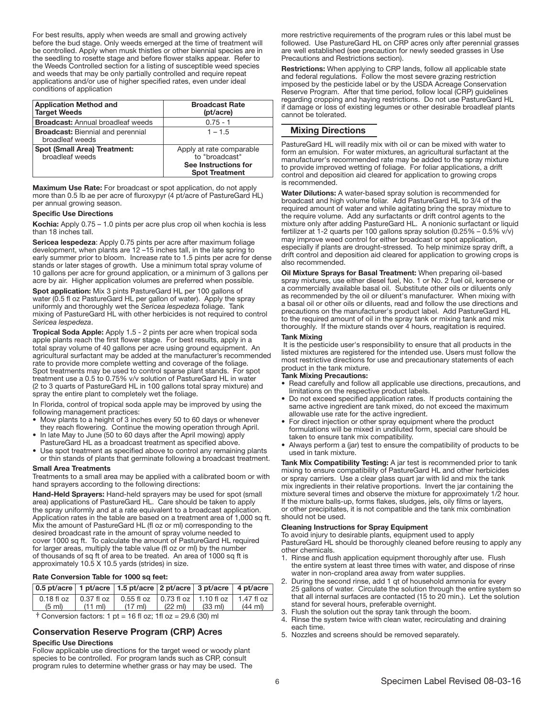For best results, apply when weeds are small and growing actively before the bud stage. Only weeds emerged at the time of treatment will be controlled. Apply when musk thistles or other biennial species are in the seedling to rosette stage and before flower stalks appear. Refer to the Weeds Controlled section for a listing of susceptible weed species and weeds that may be only partially controlled and require repeat applications and/or use of higher specified rates, even under ideal conditions of application Ì

| <b>Application Method and</b><br><b>Target Weeds</b>        | <b>Broadcast Rate</b><br>(pt/acre)                                                          |
|-------------------------------------------------------------|---------------------------------------------------------------------------------------------|
| <b>Broadcast:</b> Annual broadleaf weeds                    | $0.75 - 1$                                                                                  |
| <b>Broadcast:</b> Biennial and perennial<br>broadleaf weeds | $1 - 1.5$                                                                                   |
| <b>Spot (Small Area) Treatment:</b><br>broadleaf weeds      | Apply at rate comparable<br>to "broadcast"<br>See Instructions for<br><b>Spot Treatment</b> |

Maximum Use Rate: For broadcast or spot application, do not apply more than 0.5 lb ae per acre of fluroxypyr (4 pt/acre of PastureGard HL) per annual growing season.

#### Specific Use Directions

Kochia: Apply 0.75 – 1.0 pints per acre plus crop oil when kochia is less than 18 inches tall.

Sericea lespedeza: Apply 0.75 pints per acre after maximum foliage development, when plants are 12 –15 inches tall, in the late spring to early summer prior to bloom. Increase rate to 1.5 pints per acre for dense stands or later stages of growth. Use a minimum total spray volume of 10 gallons per acre for ground application, or a minimum of 3 gallons per acre by air. Higher application volumes are preferred when possible.

Spot application: Mix 3 pints PastureGard HL per 100 gallons of water (0.5 fl oz PastureGard HL per gallon of water). Apply the spray uniformly and thoroughly wet the *Sericea lespedeza* foliage. Tank mixing of PastureGard HL with other herbicides is not required to control *Sericea lespedeza*.

Tropical Soda Apple: Apply 1.5 - 2 pints per acre when tropical soda apple plants reach the first flower stage. For best results, apply in a total spray volume of 40 gallons per acre using ground equipment. An agricultural surfactant may be added at the manufacturer's recommended rate to provide more complete wetting and coverage of the foliage. Spot treatments may be used to control sparse plant stands. For spot treatment use a 0.5 to 0.75% v/v solution of PastureGard HL in water (2 to 3 quarts of PastureGard HL in 100 gallons total spray mixture) and spray the entire plant to completely wet the foliage.

In Florida, control of tropical soda apple may be improved by using the following management practices:

- Mow plants to a height of 3 inches every 50 to 60 days or whenever they reach flowering. Continue the mowing operation through April.
- In late May to June (50 to 60 days after the April mowing) apply PastureGard HL as a broadcast treatment as specified above.
- Use spot treatment as specified above to control any remaining plants or thin stands of plants that germinate following a broadcast treatment.

#### Small Area Treatments

Treatments to a small area may be applied with a calibrated boom or with hand sprayers according to the following directions:

Hand-Held Sprayers: Hand-held sprayers may be used for spot (small area) applications of PastureGard HL. Care should be taken to apply the spray uniformly and at a rate equivalent to a broadcast application. Application rates in the table are based on a treatment area of 1,000 sq ft. Mix the amount of PastureGard HL (fl oz or ml) corresponding to the desired broadcast rate in the amount of spray volume needed to cover 1000 sq ft. To calculate the amount of PastureGard HL required for larger areas, multiply the table value (fl oz or ml) by the number of thousands of sq ft of area to be treated. An area of 1000 sq ft is approximately 10.5 X 10.5 yards (strides) in size.

#### Rate Conversion Table for 1000 sq feet:

| $\vert$ 0.5 pt/acre $\vert$ 1 pt/acre $\vert$ 1.5 pt/acre $\vert$ 2 pt/acre $\vert$ 3 pt/acre $\vert$ 4 pt/acre |                   |                                                                                                  |                                     |  |                   |  |
|-----------------------------------------------------------------------------------------------------------------|-------------------|--------------------------------------------------------------------------------------------------|-------------------------------------|--|-------------------|--|
| $(5 \text{ ml})$                                                                                                | $(11 \text{ ml})$ | 0.18 fl oz   0.37 fl oz   0.55 fl oz   0.73 fl oz   1.10 fl oz   1.47 fl oz<br>$(17 \text{ ml})$ | $(22 \text{ ml})$ $(33 \text{ ml})$ |  | $(44 \text{ ml})$ |  |
|                                                                                                                 |                   |                                                                                                  |                                     |  |                   |  |

 $\dagger$  Conversion factors: 1 pt = 16 fl oz; 1fl oz = 29.6 (30) ml

## Conservation Reserve Program (CRP) Acres

#### Specific Use Directions

Follow applicable use directions for the target weed or woody plant species to be controlled. For program lands such as CRP, consult program rules to determine whether grass or hay may be used. The more restrictive requirements of the program rules or this label must be followed. Use PastureGard HL on CRP acres only after perennial grasses are well established (see precaution for newly seeded grasses in Use Precautions and Restrictions section).

Restrictions: When applying to CRP lands, follow all applicable state and federal regulations. Follow the most severe grazing restriction imposed by the pesticide label or by the USDA Acreage Conservation Reserve Program. After that time period, follow local (CRP) guidelines regarding cropping and haying restrictions. Do not use PastureGard HL if damage or loss of existing legumes or other desirable broadleaf plants cannot be tolerated.

## Mixing Directions

PastureGard HL will readily mix with oil or can be mixed with water to form an emulsion. For water mixtures, an agricultural surfactant at the manufacturer's recommended rate may be added to the spray mixture to provide improved wetting of foliage. For foliar applications, a drift control and deposition aid cleared for application to growing crops is recommended.

Water Dilutions: A water-based spray solution is recommended for broadcast and high volume foliar. Add PastureGard HL to 3/4 of the required amount of water and while agitating bring the spray mixture to the require volume. Add any surfactants or drift control agents to the mixture only after adding PastureGard HL. A nonionic surfactant or liquid fertilizer at 1-2 quarts per 100 gallons spray solution  $(0.25\% - 0.5\%$  v/v) may improve weed control for either broadcast or spot application, especially if plants are drought-stressed. To help minimize spray drift, a drift control and deposition aid cleared for application to growing crops is also recommended.

Oil Mixture Sprays for Basal Treatment: When preparing oil-based spray mixtures, use either diesel fuel, No. 1 or No. 2 fuel oil, kerosene or a commercially available basal oil. Substitute other oils or diluents only as recommended by the oil or diluent's manufacturer. When mixing with a basal oil or other oils or diluents, read and follow the use directions and precautions on the manufacturer's product label. Add PastureGard HL to the required amount of oil in the spray tank or mixing tank and mix thoroughly. If the mixture stands over 4 hours, reagitation is required.

#### Tank Mixing

It is the pesticide user's responsibility to ensure that all products in the listed mixtures are registered for the intended use. Users must follow the most restrictive directions for use and precautionary statements of each product in the tank mixture.

#### Tank Mixing Precautions:

- Read carefully and follow all applicable use directions, precautions, and limitations on the respective product labels.
- Do not exceed specified application rates. If products containing the same active ingredient are tank mixed, do not exceed the maximum allowable use rate for the active ingredient.
- For direct injection or other spray equipment where the product formulations will be mixed in undiluted form, special care should be taken to ensure tank mix compatibility.
- Always perform a (jar) test to ensure the compatibility of products to be used in tank mixture.

Tank Mix Compatibility Testing: A jar test is recommended prior to tank mixing to ensure compatibility of PastureGard HL and other herbicides or spray carriers. Use a clear glass quart jar with lid and mix the tank mix ingredients in their relative proportions. Invert the jar containing the mixture several times and observe the mixture for approximately 1/2 hour. If the mixture balls-up, forms flakes, sludges, jels, oily films or layers, or other precipitates, it is not compatible and the tank mix combination should not be used.

#### Cleaning Instructions for Spray Equipment

To avoid injury to desirable plants, equipment used to apply PastureGard HL should be thoroughly cleaned before reusing to apply any other chemicals.

- 1. Rinse and flush application equipment thoroughly after use. Flush the entire system at least three times with water, and dispose of rinse water in non-cropland area away from water supplies.
- 2. During the second rinse, add 1 qt of household ammonia for every 25 gallons of water. Circulate the solution through the entire system so that all internal surfaces are contacted (15 to 20 min.). Let the solution stand for several hours, preferable overnight.
- 3. Flush the solution out the spray tank through the boom.
- 4. Rinse the system twice with clean water, recirculating and draining each time.
- 5. Nozzles and screens should be removed separately.